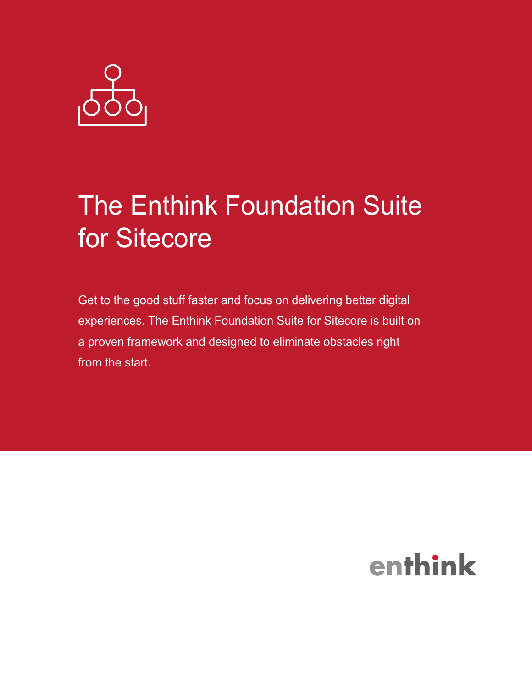

# The Enthink Foundation Suite for Sitecore

Get to the good stuff faster and focus on delivering better digital experiences. The Enthink Foundation Suite for Sitecore is built on a proven framework and designed to eliminate obstacles right from the start.

## enthink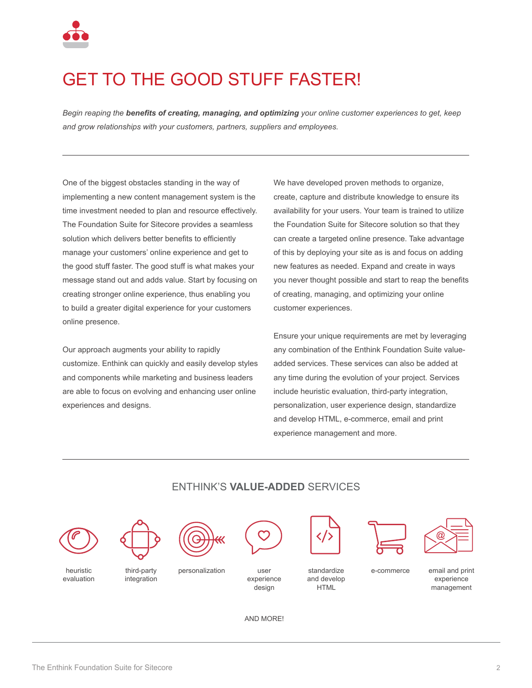

### GET TO THE GOOD STUFF FASTER!

*Begin reaping the benefits of creating, managing, and optimizing your online customer experiences to get, keep and grow relationships with your customers, partners, suppliers and employees.*

One of the biggest obstacles standing in the way of implementing a new content management system is the time investment needed to plan and resource effectively. The Foundation Suite for Sitecore provides a seamless solution which delivers better benefits to efficiently manage your customers' online experience and get to the good stuff faster. The good stuff is what makes your message stand out and adds value. Start by focusing on creating stronger online experience, thus enabling you to build a greater digital experience for your customers online presence.

Our approach augments your ability to rapidly customize. Enthink can quickly and easily develop styles and components while marketing and business leaders are able to focus on evolving and enhancing user online experiences and designs.

We have developed proven methods to organize, create, capture and distribute knowledge to ensure its availability for your users. Your team is trained to utilize the Foundation Suite for Sitecore solution so that they can create a targeted online presence. Take advantage of this by deploying your site as is and focus on adding new features as needed. Expand and create in ways you never thought possible and start to reap the benefits of creating, managing, and optimizing your online customer experiences.

Ensure your unique requirements are met by leveraging any combination of the Enthink Foundation Suite valueadded services. These services can also be added at any time during the evolution of your project. Services include heuristic evaluation, third-party integration, personalization, user experience design, standardize and develop HTML, e-commerce, email and print experience management and more.



#### ENTHINK'S **VALUE-ADDED** SERVICES

AND MORE!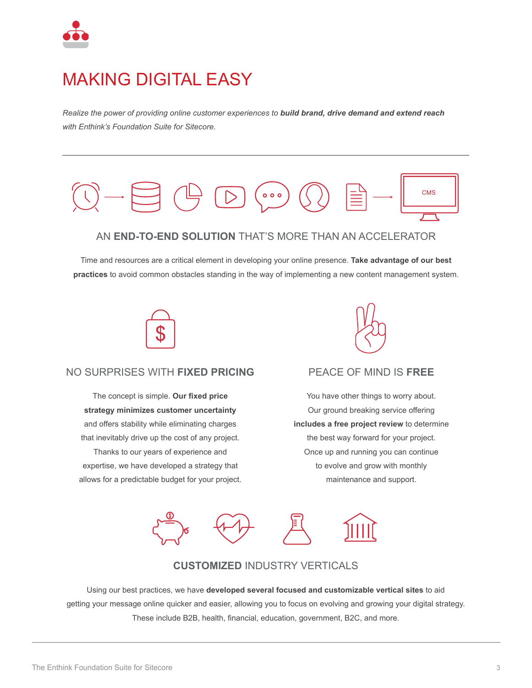

### MAKING DIGITAL EASY

*Realize the power of providing online customer experiences to build brand, drive demand and extend reach with Enthink's Foundation Suite for Sitecore.*



Time and resources are a critical element in developing your online presence. **Take advantage of our best practices** to avoid common obstacles standing in the way of implementing a new content management system.



#### NO SURPRISES WITH **FIXED PRICING**

The concept is simple. **Our fixed price strategy minimizes customer uncertainty** and offers stability while eliminating charges that inevitably drive up the cost of any project. Thanks to our years of experience and expertise, we have developed a strategy that allows for a predictable budget for your project.



#### PEACE OF MIND IS **FREE**

You have other things to worry about. Our ground breaking service offering **includes a free project review** to determine the best way forward for your project. Once up and running you can continue to evolve and grow with monthly maintenance and support.



#### **CUSTOMIZED** INDUSTRY VERTICALS

Using our best practices, we have **developed several focused and customizable vertical sites** to aid getting your message online quicker and easier, allowing you to focus on evolving and growing your digital strategy. These include B2B, health, financial, education, government, B2C, and more.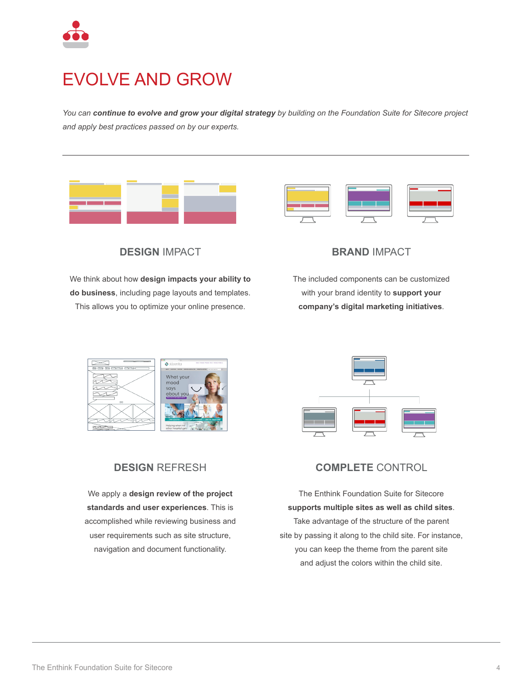

### EVOLVE AND GROW

*You can continue to evolve and grow your digital strategy by building on the Foundation Suite for Sitecore project and apply best practices passed on by our experts.* 





**DESIGN** IMPACT

We think about how **design impacts your ability to do business**, including page layouts and templates. This allows you to optimize your online presence.



The included components can be customized with your brand identity to **support your company's digital marketing initiatives**.





#### **DESIGN** REFRESH

We apply a **design review of the project standards and user experiences**. This is accomplished while reviewing business and user requirements such as site structure, navigation and document functionality.



The Enthink Foundation Suite for Sitecore **supports multiple sites as well as child sites**. Take advantage of the structure of the parent site by passing it along to the child site. For instance, you can keep the theme from the parent site and adjust the colors within the child site.